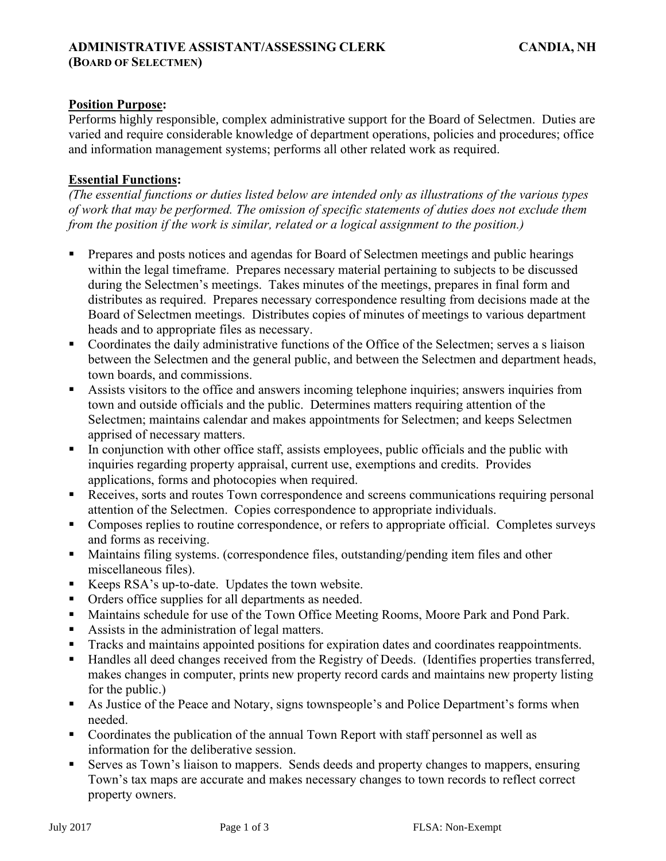# **Position Purpose:**

Performs highly responsible, complex administrative support for the Board of Selectmen. Duties are varied and require considerable knowledge of department operations, policies and procedures; office and information management systems; performs all other related work as required.

# **Essential Functions:**

*(The essential functions or duties listed below are intended only as illustrations of the various types of work that may be performed. The omission of specific statements of duties does not exclude them from the position if the work is similar, related or a logical assignment to the position.)*

- Prepares and posts notices and agendas for Board of Selectmen meetings and public hearings within the legal timeframe. Prepares necessary material pertaining to subjects to be discussed during the Selectmen's meetings. Takes minutes of the meetings, prepares in final form and distributes as required. Prepares necessary correspondence resulting from decisions made at the Board of Selectmen meetings. Distributes copies of minutes of meetings to various department heads and to appropriate files as necessary.
- Coordinates the daily administrative functions of the Office of the Selectmen; serves a s liaison between the Selectmen and the general public, and between the Selectmen and department heads, town boards, and commissions.
- **EXECUTE:** Assists visitors to the office and answers incoming telephone inquiries; answers inquiries from town and outside officials and the public. Determines matters requiring attention of the Selectmen; maintains calendar and makes appointments for Selectmen; and keeps Selectmen apprised of necessary matters.
- **I.** In conjunction with other office staff, assists employees, public officials and the public with inquiries regarding property appraisal, current use, exemptions and credits. Provides applications, forms and photocopies when required.
- **Receives, sorts and routes Town correspondence and screens communications requiring personal** attention of the Selectmen. Copies correspondence to appropriate individuals.
- **•** Composes replies to routine correspondence, or refers to appropriate official. Completes surveys and forms as receiving.
- Maintains filing systems. (correspondence files, outstanding/pending item files and other miscellaneous files).
- Keeps RSA's up-to-date. Updates the town website.
- Orders office supplies for all departments as needed.
- Maintains schedule for use of the Town Office Meeting Rooms, Moore Park and Pond Park.
- Assists in the administration of legal matters.
- Tracks and maintains appointed positions for expiration dates and coordinates reappointments.
- Handles all deed changes received from the Registry of Deeds. (Identifies properties transferred, makes changes in computer, prints new property record cards and maintains new property listing for the public.)
- As Justice of the Peace and Notary, signs townspeople's and Police Department's forms when needed.
- Coordinates the publication of the annual Town Report with staff personnel as well as information for the deliberative session.
- Serves as Town's liaison to mappers. Sends deeds and property changes to mappers, ensuring Town's tax maps are accurate and makes necessary changes to town records to reflect correct property owners.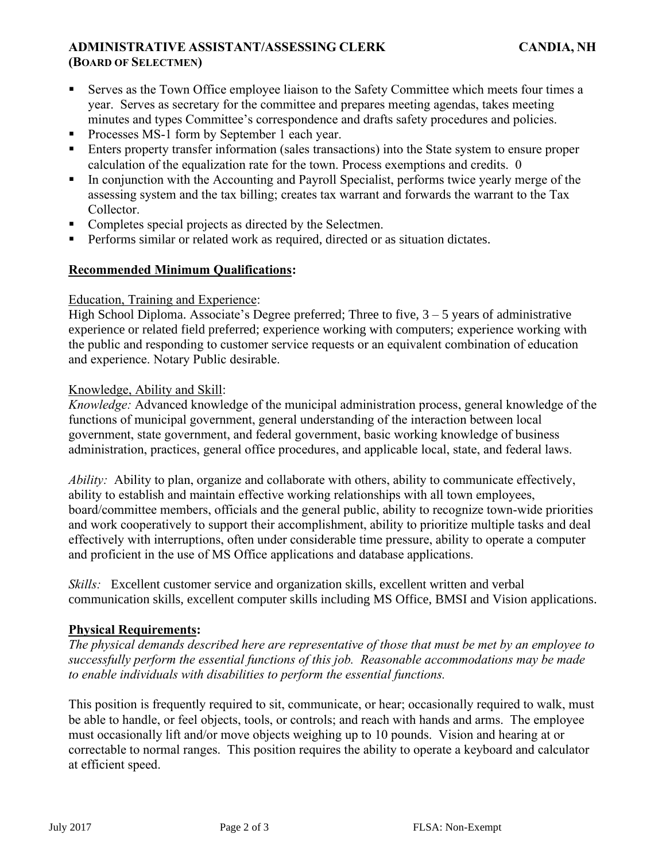## **ADMINISTRATIVE ASSISTANT/ASSESSING CLERK CANDIA, NH (BOARD OF SELECTMEN)**

- Serves as the Town Office employee liaison to the Safety Committee which meets four times a year. Serves as secretary for the committee and prepares meeting agendas, takes meeting minutes and types Committee's correspondence and drafts safety procedures and policies.
- Processes MS-1 form by September 1 each year.
- Enters property transfer information (sales transactions) into the State system to ensure proper calculation of the equalization rate for the town. Process exemptions and credits. 0
- In conjunction with the Accounting and Payroll Specialist, performs twice yearly merge of the assessing system and the tax billing; creates tax warrant and forwards the warrant to the Tax Collector.
- Completes special projects as directed by the Selectmen.
- Performs similar or related work as required, directed or as situation dictates.

# **Recommended Minimum Qualifications:**

#### Education, Training and Experience:

High School Diploma. Associate's Degree preferred; Three to five,  $3 - 5$  years of administrative experience or related field preferred; experience working with computers; experience working with the public and responding to customer service requests or an equivalent combination of education and experience. Notary Public desirable.

#### Knowledge, Ability and Skill:

*Knowledge:* Advanced knowledge of the municipal administration process, general knowledge of the functions of municipal government, general understanding of the interaction between local government, state government, and federal government, basic working knowledge of business administration, practices, general office procedures, and applicable local, state, and federal laws.

*Ability:* Ability to plan, organize and collaborate with others, ability to communicate effectively, ability to establish and maintain effective working relationships with all town employees, board/committee members, officials and the general public, ability to recognize town-wide priorities and work cooperatively to support their accomplishment, ability to prioritize multiple tasks and deal effectively with interruptions, often under considerable time pressure, ability to operate a computer and proficient in the use of MS Office applications and database applications.

*Skills:* Excellent customer service and organization skills, excellent written and verbal communication skills, excellent computer skills including MS Office, BMSI and Vision applications.

#### **Physical Requirements:**

*The physical demands described here are representative of those that must be met by an employee to successfully perform the essential functions of this job. Reasonable accommodations may be made to enable individuals with disabilities to perform the essential functions.*

This position is frequently required to sit, communicate, or hear; occasionally required to walk, must be able to handle, or feel objects, tools, or controls; and reach with hands and arms. The employee must occasionally lift and/or move objects weighing up to 10 pounds. Vision and hearing at or correctable to normal ranges. This position requires the ability to operate a keyboard and calculator at efficient speed.